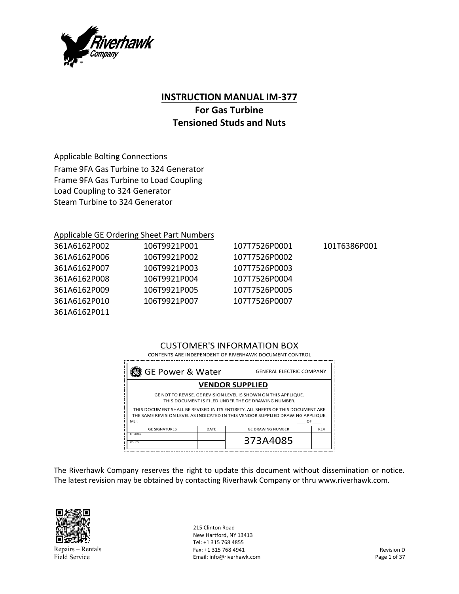

## **INSTRUCTION MANUAL IM‐377**

# **For Gas Turbine Tensioned Studs and Nuts**

### Applicable Bolting Connections

Frame 9FA Gas Turbine to 324 Generator Frame 9FA Gas Turbine to Load Coupling Load Coupling to 324 Generator Steam Turbine to 324 Generator

### Applicable GE Ordering Sheet Part Numbers

| 361A6162P002 | 106T9921P001 | 107T7526P0001 | 101T6386P001 |
|--------------|--------------|---------------|--------------|
| 361A6162P006 | 106T9921P002 | 107T7526P0002 |              |
| 361A6162P007 | 106T9921P003 | 107T7526P0003 |              |
| 361A6162P008 | 106T9921P004 | 107T7526P0004 |              |
| 361A6162P009 | 106T9921P005 | 107T7526P0005 |              |
| 361A6162P010 | 106T9921P007 | 107T7526P0007 |              |
| 361A6162P011 |              |               |              |

## CUSTOMER'S INFORMATION BOX

| ■ GE Power & Water                                                                                                                                                                |      | <b>GENERAL ELECTRIC COMPANY</b> |            |
|-----------------------------------------------------------------------------------------------------------------------------------------------------------------------------------|------|---------------------------------|------------|
|                                                                                                                                                                                   |      | <b>VENDOR SUPPLIED</b>          |            |
| GE NOT TO REVISE. GE REVISION LEVEL IS SHOWN ON THIS APPLIQUE.<br>THIS DOCUMENT IS FILED UNDER THE GE DRAWING NUMBER.                                                             |      |                                 |            |
| THIS DOCUMENT SHALL BE REVISED IN ITS ENTIRETY. ALL SHEETS OF THIS DOCUMENT ARE<br>THE SAME REVISION LEVEL AS INDICATED IN THIS VENDOR SUPPLIED DRAWING APPLIQUE.<br>MLI:<br>OF D |      |                                 |            |
| <b>GE SIGNATURES</b>                                                                                                                                                              | DATE | <b>GE DRAWING NUMBER</b>        | <b>REV</b> |
| CHECKED:<br>ISSUED:                                                                                                                                                               |      | 373A4085                        |            |

The Riverhawk Company reserves the right to update this document without dissemination or notice. The latest revision may be obtained by contacting Riverhawk Company or thru www.riverhawk.com.



Repairs – Rentals Field Service

215 Clinton Road New Hartford, NY 13413 Tel: +1 315 768 4855 Fax: +1 315 768 4941 Email: info@riverhawk.com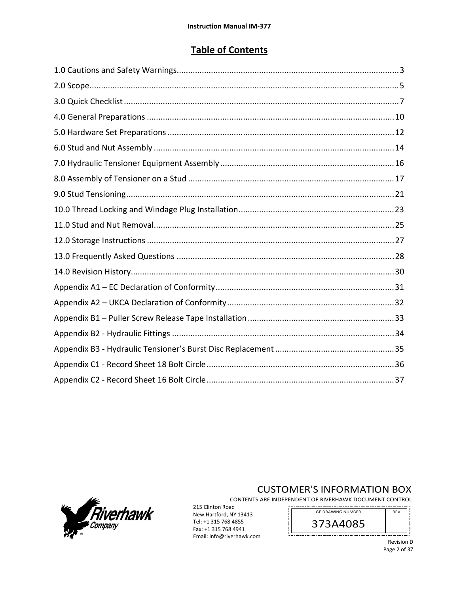# **Table of Contents**



# **CUSTOMER'S INFORMATION BOX**

CONTENTS ARE INDEPENDENT OF RIVERHAWK DOCUMENT CONTROL 

 $\prod_{i=1}^n$ 

215 Clinton Road New Hartford, NY 13413 Tel: +1 315 768 4855 Fax: +1 315 768 4941 Email: info@riverhawk.com

GE DRAWING NUMBER **REV** 373A4085 \_\_\_\_\_\_\_\_\_\_\_\_\_\_\_\_\_\_\_\_\_\_\_

> Revision D Page 2 of 37

j.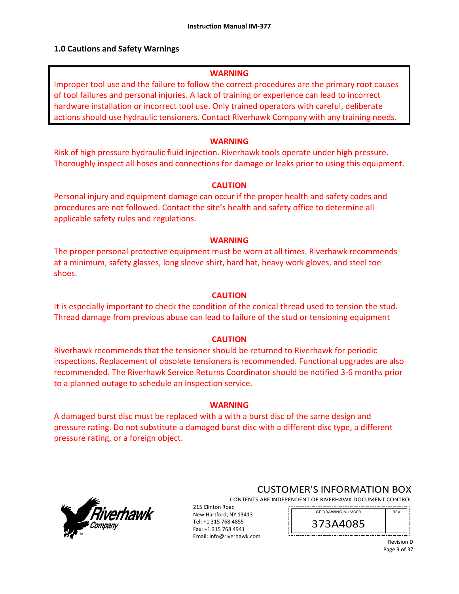### **1.0 Cautions and Safety Warnings**

### **WARNING**

Improper tool use and the failure to follow the correct procedures are the primary root causes of tool failures and personal injuries. A lack of training or experience can lead to incorrect hardware installation or incorrect tool use. Only trained operators with careful, deliberate actions should use hydraulic tensioners. Contact Riverhawk Company with any training needs.

#### **WARNING**

Risk of high pressure hydraulic fluid injection. Riverhawk tools operate under high pressure. Thoroughly inspect all hoses and connections for damage or leaks prior to using this equipment.

### **CAUTION**

Personal injury and equipment damage can occur if the proper health and safety codes and procedures are not followed. Contact the site's health and safety office to determine all applicable safety rules and regulations.

#### **WARNING**

The proper personal protective equipment must be worn at all times. Riverhawk recommends at a minimum, safety glasses, long sleeve shirt, hard hat, heavy work gloves, and steel toe shoes.

#### **CAUTION**

It is especially important to check the condition of the conical thread used to tension the stud. Thread damage from previous abuse can lead to failure of the stud or tensioning equipment

### **CAUTION**

Riverhawk recommends that the tensioner should be returned to Riverhawk for periodic inspections. Replacement of obsolete tensioners is recommended. Functional upgrades are also recommended. The Riverhawk Service Returns Coordinator should be notified 3‐6 months prior to a planned outage to schedule an inspection service.

#### **WARNING**

A damaged burst disc must be replaced with a with a burst disc of the same design and pressure rating. Do not substitute a damaged burst disc with a different disc type, a different pressure rating, or a foreign object.



## CUSTOMER'S INFORMATION BOX

CONTENTS ARE INDEPENDENT OF RIVERHAWK DOCUMENT CONTROL 

215 Clinton Road New Hartford, NY 13413 Tel: +1 315 768 4855 Fax: +1 315 768 4941 Email: info@riverhawk.com

373A4085 GE DRAWING NUMBER

> Revision D Page 3 of 37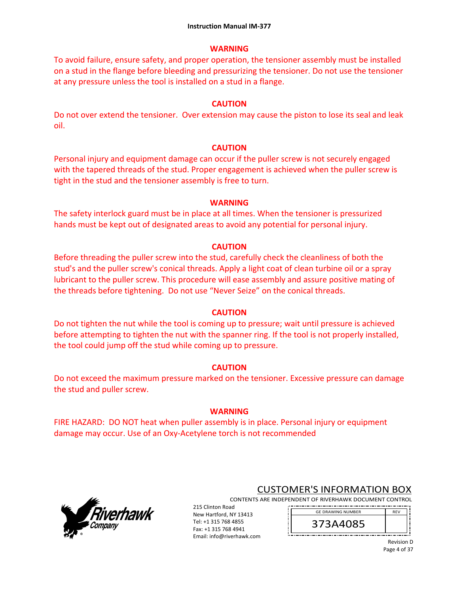### **WARNING**

To avoid failure, ensure safety, and proper operation, the tensioner assembly must be installed on a stud in the flange before bleeding and pressurizing the tensioner. Do not use the tensioner at any pressure unless the tool is installed on a stud in a flange.

#### **CAUTION**

Do not over extend the tensioner. Over extension may cause the piston to lose its seal and leak oil.

#### **CAUTION**

Personal injury and equipment damage can occur if the puller screw is not securely engaged with the tapered threads of the stud. Proper engagement is achieved when the puller screw is tight in the stud and the tensioner assembly is free to turn.

#### **WARNING**

The safety interlock guard must be in place at all times. When the tensioner is pressurized hands must be kept out of designated areas to avoid any potential for personal injury.

### **CAUTION**

Before threading the puller screw into the stud, carefully check the cleanliness of both the stud's and the puller screw's conical threads. Apply a light coat of clean turbine oil or a spray lubricant to the puller screw. This procedure will ease assembly and assure positive mating of the threads before tightening. Do not use "Never Seize" on the conical threads.

#### **CAUTION**

Do not tighten the nut while the tool is coming up to pressure; wait until pressure is achieved before attempting to tighten the nut with the spanner ring. If the tool is not properly installed, the tool could jump off the stud while coming up to pressure.

### **CAUTION**

Do not exceed the maximum pressure marked on the tensioner. Excessive pressure can damage the stud and puller screw.

#### **WARNING**

FIRE HAZARD: DO NOT heat when puller assembly is in place. Personal injury or equipment damage may occur. Use of an Oxy‐Acetylene torch is not recommended



## CUSTOMER'S INFORMATION BOX

CONTENTS ARE INDEPENDENT OF RIVERHAWK DOCUMENT CONTROL 215 Clinton Road 

New Hartford, NY 13413 Tel: +1 315 768 4855 Fax: +1 315 768 4941 Email: info@riverhawk.com



Revision D Page 4 of 37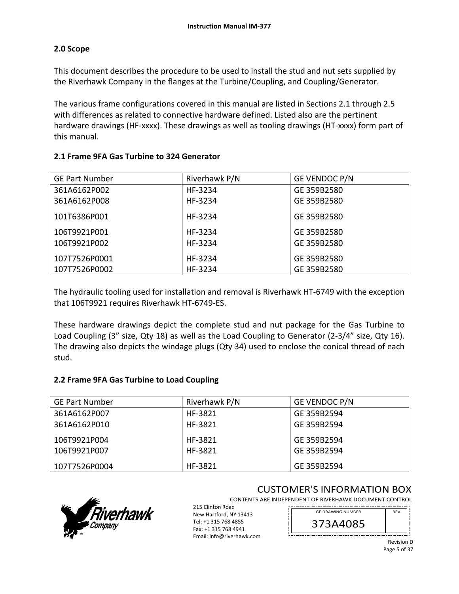## **2.0 Scope**

This document describes the procedure to be used to install the stud and nut sets supplied by the Riverhawk Company in the flanges at the Turbine/Coupling, and Coupling/Generator.

The various frame configurations covered in this manual are listed in Sections 2.1 through 2.5 with differences as related to connective hardware defined. Listed also are the pertinent hardware drawings (HF-xxxx). These drawings as well as tooling drawings (HT-xxxx) form part of this manual.

| <b>GE Part Number</b> | Riverhawk P/N | GE VENDOC P/N |
|-----------------------|---------------|---------------|
| 361A6162P002          | HF-3234       | GE 359B2580   |
| 361A6162P008          | HF-3234       | GE 359B2580   |
| 101T6386P001          | HF-3234       | GE 359B2580   |
| 106T9921P001          | HF-3234       | GE 359B2580   |
| 106T9921P002          | HF-3234       | GE 359B2580   |
| 107T7526P0001         | HF-3234       | GE 359B2580   |
| 107T7526P0002         | HF-3234       | GE 359B2580   |

## **2.1 Frame 9FA Gas Turbine to 324 Generator**

The hydraulic tooling used for installation and removal is Riverhawk HT‐6749 with the exception that 106T9921 requires Riverhawk HT‐6749‐ES.

These hardware drawings depict the complete stud and nut package for the Gas Turbine to Load Coupling (3" size, Qty 18) as well as the Load Coupling to Generator (2‐3/4" size, Qty 16). The drawing also depicts the windage plugs (Qty 34) used to enclose the conical thread of each stud.

## **2.2 Frame 9FA Gas Turbine to Load Coupling**

| <b>GE Part Number</b> | Riverhawk P/N      | GE VENDOC P/N |
|-----------------------|--------------------|---------------|
| 361A6162P007          | HF-3821            | GE 359B2594   |
| 361A6162P010          | HF-3821            | GE 359B2594   |
| 106T9921P004          | HF-3821<br>HF-3821 | GE 359B2594   |
| 106T9921P007          |                    | GE 359B2594   |
| 107T7526P0004         | HF-3821            | GE 359B2594   |



# CUSTOMER'S INFORMATION BOX

CONTENTS ARE INDEPENDENT OF RIVERHAWK DOCUMENT CONTROL

215 Clinton Road New Hartford, NY 13413 Tel: +1 315 768 4855 Fax: +1 315 768 4941 Email: info@riverhawk.com



Revision D Page 5 of 37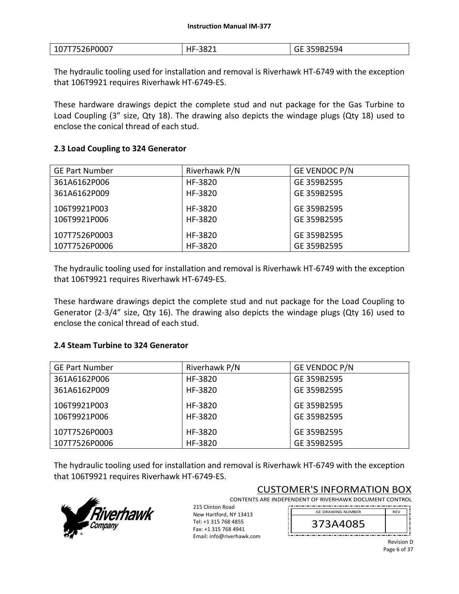| 107T7526P0007 | HF-3821 | <b>GE 359B2594</b><br>OE. |
|---------------|---------|---------------------------|
|---------------|---------|---------------------------|

The hydraulic tooling used for installation and removal is Riverhawk HT‐6749 with the exception that 106T9921 requires Riverhawk HT‐6749‐ES.

These hardware drawings depict the complete stud and nut package for the Gas Turbine to Load Coupling (3" size, Qty 18). The drawing also depicts the windage plugs (Qty 18) used to enclose the conical thread of each stud.

### **2.3 Load Coupling to 324 Generator**

| <b>GE Part Number</b> | Riverhawk P/N | GE VENDOC P/N |
|-----------------------|---------------|---------------|
| 361A6162P006          | HF-3820       | GE 359B2595   |
| 361A6162P009          | HF-3820       | GE 359B2595   |
| 106T9921P003          | HF-3820       | GE 359B2595   |
| 106T9921P006          | HF-3820       | GE 359B2595   |
| 107T7526P0003         | HF-3820       | GE 359B2595   |
| 107T7526P0006         | HF-3820       | GE 359B2595   |

The hydraulic tooling used for installation and removal is Riverhawk HT‐6749 with the exception that 106T9921 requires Riverhawk HT‐6749‐ES.

These hardware drawings depict the complete stud and nut package for the Load Coupling to Generator (2-3/4" size, Qty 16). The drawing also depicts the windage plugs (Qty 16) used to enclose the conical thread of each stud.

### **2.4 Steam Turbine to 324 Generator**

| <b>GE Part Number</b> | Riverhawk P/N | GE VENDOC P/N |
|-----------------------|---------------|---------------|
| 361A6162P006          | HF-3820       | GE 359B2595   |
| 361A6162P009          | HF-3820       | GE 359B2595   |
| 106T9921P003          | HF-3820       | GE 359B2595   |
| 106T9921P006          | HF-3820       | GE 359B2595   |
| 107T7526P0003         | HF-3820       | GE 359B2595   |
| 107T7526P0006         | HF-3820       | GE 359B2595   |

The hydraulic tooling used for installation and removal is Riverhawk HT‐6749 with the exception that 106T9921 requires Riverhawk HT‐6749‐ES.



## CUSTOMER'S INFORMATION BOX

CONTENTS ARE INDEPENDENT OF RIVERHAWK DOCUMENT CONTROL 

215 Clinton Road New Hartford, NY 13413 Tel: +1 315 768 4855 Fax: +1 315 768 4941 Email: info@riverhawk.com



Revision D Page 6 of 37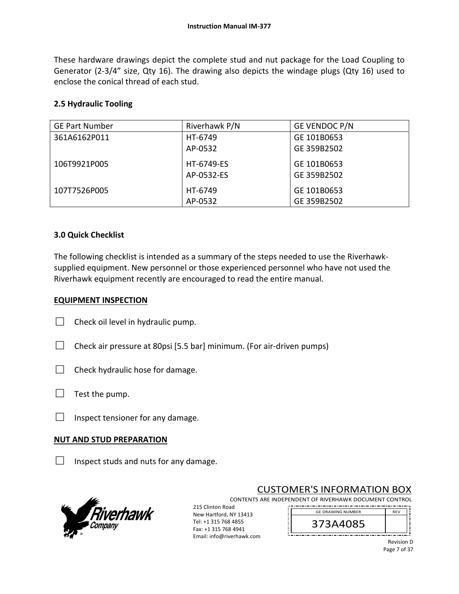These hardware drawings depict the complete stud and nut package for the Load Coupling to Generator (2-3/4" size, Qty 16). The drawing also depicts the windage plugs (Qty 16) used to enclose the conical thread of each stud.

### **2.5 Hydraulic Tooling**

| <b>GE Part Number</b> | Riverhawk P/N | GE VENDOC P/N |
|-----------------------|---------------|---------------|
| 361A6162P011          | HT-6749       | GE 101B0653   |
|                       | AP-0532       | GE 359B2502   |
| 106T9921P005          | HT-6749-ES    | GE 101B0653   |
|                       | AP-0532-ES    | GE 359B2502   |
| 107T7526P005          | HT-6749       | GE 101B0653   |
|                       | AP-0532       | GE 359B2502   |

### **3.0 Quick Checklist**

The following checklist is intended as a summary of the steps needed to use the Riverhawk‐ supplied equipment. New personnel or those experienced personnel who have not used the Riverhawk equipment recently are encouraged to read the entire manual.

### **EQUIPMENT INSPECTION**

| $\Box$ Check oil level in hydraulic pump. |
|-------------------------------------------|
|                                           |

- $\Box$  Check air pressure at 80psi [5.5 bar] minimum. (For air-driven pumps)
- $\Box$  Check hydraulic hose for damage.
- $\Box$  Test the pump.
- $\Box$  Inspect tensioner for any damage.

### **NUT AND STUD PREPARATION**

 $\Box$  Inspect studs and nuts for any damage.



# CUSTOMER'S INFORMATION BOX

CONTENTS ARE INDEPENDENT OF RIVERHAWK DOCUMENT CONTROL \_\_\_\_\_\_\_\_\_\_\_\_\_\_\_\_\_

215 Clinton Road New Hartford, NY 13413 Tel: +1 315 768 4855 Fax: +1 315 768 4941 Email: info@riverhawk.com

REV 373A4085 GE DRAWING NUMBER

> Revision D Page 7 of 37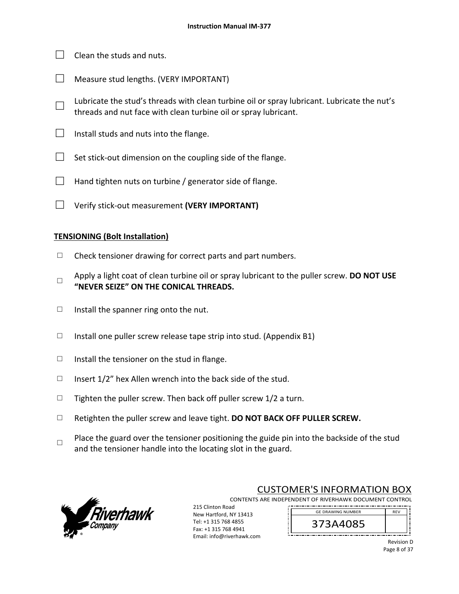- $\Box$  Clean the studs and nuts.
- $\Box$  Measure stud lengths. (VERY IMPORTANT)
- □ Lubricate the stud's threads with clean turbine oil or spray lubricant. Lubricate the nut's threads and nut face with clean turbine oil or spray lubricant.
- $\Box$  Install studs and nuts into the flange.
- $\Box$  Set stick-out dimension on the coupling side of the flange.
- $\Box$  Hand tighten nuts on turbine / generator side of flange.
- □ Verify stick‐out measurement **(VERY IMPORTANT)**

#### **TENSIONING (Bolt Installation)**

- $\Box$  Check tensioner drawing for correct parts and part numbers.
- □ Apply a light coat of clean turbine oil or spray lubricant to the puller screw. **DO NOT USE "NEVER SEIZE" ON THE CONICAL THREADS.**
- $\Box$  Install the spanner ring onto the nut.
- $\Box$  Install one puller screw release tape strip into stud. (Appendix B1)
- $\Box$  Install the tensioner on the stud in flange.
- $\Box$  Insert 1/2" hex Allen wrench into the back side of the stud.
- $\Box$  Tighten the puller screw. Then back off puller screw 1/2 a turn.
- □ Retighten the puller screw and leave tight. **DO NOT BACK OFF PULLER SCREW.**
- □ Place the guard over the tensioner positioning the guide pin into the backside of the stud and the tensioner handle into the locating slot in the guard.



### CUSTOMER'S INFORMATION BOX

GE DRAWING NUMBER

CONTENTS ARE INDEPENDENT OF RIVERHAWK DOCUMENT CONTROL 

215 Clinton Road New Hartford, NY 13413 Tel: +1 315 768 4855 Fax: +1 315 768 4941 Email: info@riverhawk.com

373A4085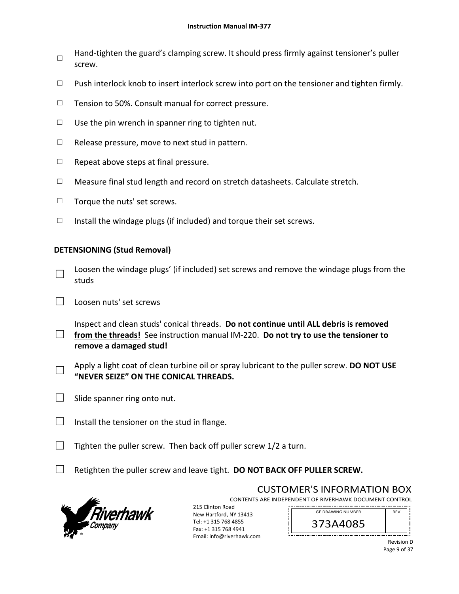- □ Hand-tighten the guard's clamping screw. It should press firmly against tensioner's puller screw.
- $\Box$  Push interlock knob to insert interlock screw into port on the tensioner and tighten firmly.
- □ Tension to 50%. Consult manual for correct pressure.
- $\Box$  Use the pin wrench in spanner ring to tighten nut.
- $\Box$  Release pressure, move to next stud in pattern.
- $\Box$  Repeat above steps at final pressure.
- □ Measure final stud length and record on stretch datasheets. Calculate stretch.
- □ Torque the nuts' set screws.
- $\Box$  Install the windage plugs (if included) and torque their set screws.

## **DETENSIONING (Stud Removal)**

- □ Loosen the windage plugs' (if included) set screws and remove the windage plugs from the studs
- □ Loosen nuts' set screws

□ from the threads! See instruction manual IM-220. **Do not try to use the tensioner to** Inspect and clean studs' conical threads. **Do not continue until ALL debris is removed remove a damaged stud!** 

- □ Apply a light coat of clean turbine oil or spray lubricant to the puller screw. **DO NOT USE "NEVER SEIZE" ON THE CONICAL THREADS.**
- $\Box$  Slide spanner ring onto nut.
- $\Box$  Install the tensioner on the stud in flange.
- $\Box$  Tighten the puller screw. Then back off puller screw 1/2 a turn.
- □ Retighten the puller screw and leave tight. **DO NOT BACK OFF PULLER SCREW.**



CUSTOMER'S INFORMATION BOX CONTENTS ARE INDEPENDENT OF RIVERHAWK DOCUMENT CONTROL

215 Clinton Road New Hartford, NY 13413 Tel: +1 315 768 4855 Fax: +1 315 768 4941 Email: info@riverhawk.com

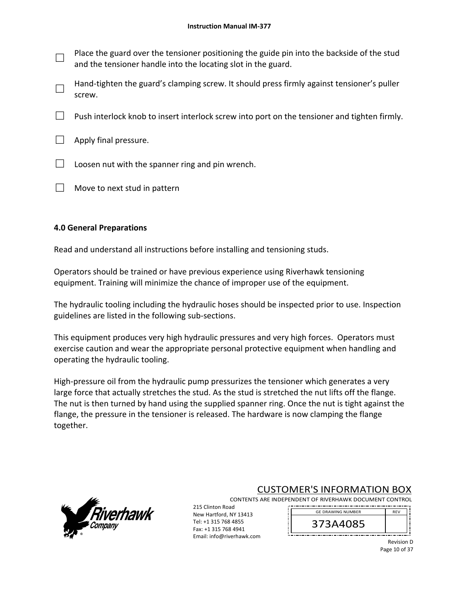- □ Place the guard over the tensioner positioning the guide pin into the backside of the stud and the tensioner handle into the locating slot in the guard.
- □ Hand-tighten the guard's clamping screw. It should press firmly against tensioner's puller screw.
- **Dush interlock knob to insert interlock screw into port on the tensioner and tighten firmly.**
- $\Box$  Apply final pressure.
- $\Box$  Loosen nut with the spanner ring and pin wrench.
- $\Box$  Move to next stud in pattern

### **4.0 General Preparations**

Read and understand all instructions before installing and tensioning studs.

Operators should be trained or have previous experience using Riverhawk tensioning equipment. Training will minimize the chance of improper use of the equipment.

The hydraulic tooling including the hydraulic hoses should be inspected prior to use. Inspection guidelines are listed in the following sub‐sections.

This equipment produces very high hydraulic pressures and very high forces. Operators must exercise caution and wear the appropriate personal protective equipment when handling and operating the hydraulic tooling.

High-pressure oil from the hydraulic pump pressurizes the tensioner which generates a very large force that actually stretches the stud. As the stud is stretched the nut lifts off the flange. The nut is then turned by hand using the supplied spanner ring. Once the nut is tight against the flange, the pressure in the tensioner is released. The hardware is now clamping the flange together.



# CUSTOMER'S INFORMATION BOX

CONTENTS ARE INDEPENDENT OF RIVERHAWK DOCUMENT CONTROL 

215 Clinton Road New Hartford, NY 13413 Tel: +1 315 768 4855 Fax: +1 315 768 4941 Email: info@riverhawk.com



Revision D Page 10 of 37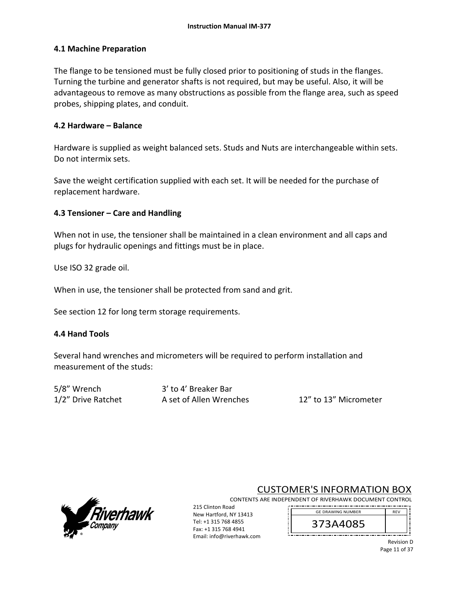### **4.1 Machine Preparation**

The flange to be tensioned must be fully closed prior to positioning of studs in the flanges. Turning the turbine and generator shafts is not required, but may be useful. Also, it will be advantageous to remove as many obstructions as possible from the flange area, such as speed probes, shipping plates, and conduit.

### **4.2 Hardware – Balance**

Hardware is supplied as weight balanced sets. Studs and Nuts are interchangeable within sets. Do not intermix sets.

Save the weight certification supplied with each set. It will be needed for the purchase of replacement hardware.

### **4.3 Tensioner – Care and Handling**

When not in use, the tensioner shall be maintained in a clean environment and all caps and plugs for hydraulic openings and fittings must be in place.

Use ISO 32 grade oil.

When in use, the tensioner shall be protected from sand and grit.

See section 12 for long term storage requirements.

## **4.4 Hand Tools**

Several hand wrenches and micrometers will be required to perform installation and measurement of the studs:

5/8" Wrench 3' to 4' Breaker Bar

1/2" Drive Ratchet **A** set of Allen Wrenches  **12"** to 13" Micrometer

Tel: +1 315 768 4855 Fax: +1 315 768 4941 Email: info@riverhawk.com



# CUSTOMER'S INFORMATION BOX

CONTENTS ARE INDEPENDENT OF RIVERHAWK DOCUMENT CONTROL 215 Clinton Road New Hartford, NY 13413 GE DRAWING NUMBER



Revision D Page 11 of 37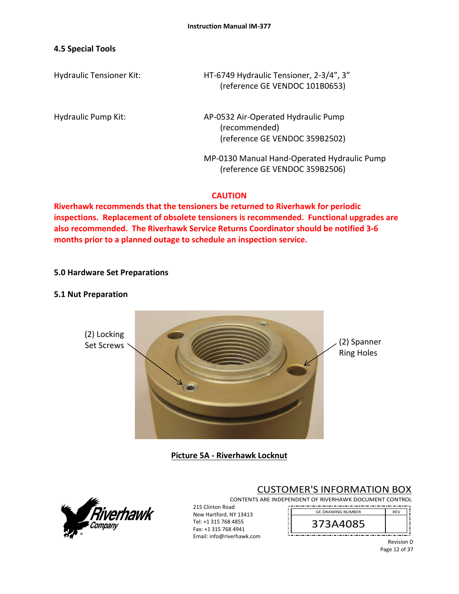### **4.5 Special Tools**

Hydraulic Tensioner Kit: HT‐6749 Hydraulic Tensioner, 2‐3/4", 3" (reference GE VENDOC 101B0653)

Hydraulic Pump Kit: 
AP-0532 Air-Operated Hydraulic Pump (recommended) (reference GE VENDOC 359B2502)

> MP‐0130 Manual Hand‐Operated Hydraulic Pump (reference GE VENDOC 359B2506)

### **CAUTION**

**Riverhawk recommends that the tensioners be returned to Riverhawk for periodic inspections. Replacement of obsolete tensioners is recommended. Functional upgrades are also recommended. The Riverhawk Service Returns Coordinator should be notified 3‐6 months prior to a planned outage to schedule an inspection service.** 

### **5.0 Hardware Set Preparations**

#### **5.1 Nut Preparation**



**Picture 5A ‐ Riverhawk Locknut**



CUSTOMER'S INFORMATION BOX

CONTENTS ARE INDEPENDENT OF RIVERHAWK DOCUMENT CONTROL . . . . . . . . . . . . . . . . . . . .

215 Clinton Road New Hartford, NY 13413 Tel: +1 315 768 4855 Fax: +1 315 768 4941 Email: info@riverhawk.com



Revision D Page 12 of 37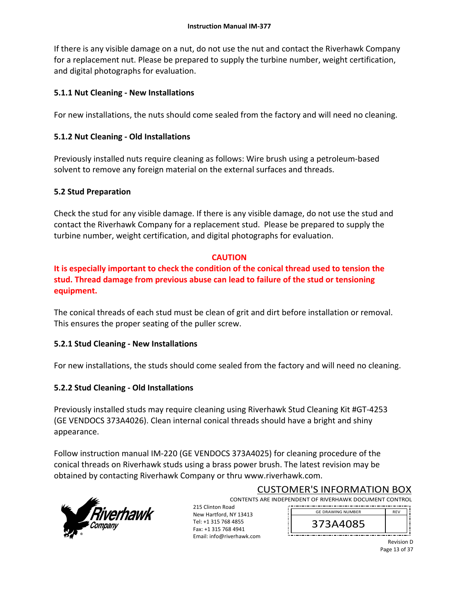If there is any visible damage on a nut, do not use the nut and contact the Riverhawk Company for a replacement nut. Please be prepared to supply the turbine number, weight certification, and digital photographs for evaluation.

## **5.1.1 Nut Cleaning ‐ New Installations**

For new installations, the nuts should come sealed from the factory and will need no cleaning.

## **5.1.2 Nut Cleaning ‐ Old Installations**

Previously installed nuts require cleaning as follows: Wire brush using a petroleum‐based solvent to remove any foreign material on the external surfaces and threads.

## **5.2 Stud Preparation**

Check the stud for any visible damage. If there is any visible damage, do not use the stud and contact the Riverhawk Company for a replacement stud. Please be prepared to supply the turbine number, weight certification, and digital photographs for evaluation.

## **CAUTION**

**It is especially important to check the condition of the conical thread used to tension the stud. Thread damage from previous abuse can lead to failure of the stud or tensioning equipment.**

The conical threads of each stud must be clean of grit and dirt before installation or removal. This ensures the proper seating of the puller screw.

# **5.2.1 Stud Cleaning ‐ New Installations**

For new installations, the studs should come sealed from the factory and will need no cleaning.

# **5.2.2 Stud Cleaning ‐ Old Installations**

Previously installed studs may require cleaning using Riverhawk Stud Cleaning Kit #GT‐4253 (GE VENDOCS 373A4026). Clean internal conical threads should have a bright and shiny appearance.

Follow instruction manual IM‐220 (GE VENDOCS 373A4025) for cleaning procedure of the conical threads on Riverhawk studs using a brass power brush. The latest revision may be obtained by contacting Riverhawk Company or thru www.riverhawk.com.



CUSTOMER'S INFORMATION BOX CONTENTS ARE INDEPENDENT OF RIVERHAWK DOCUMENT CONTROL

215 Clinton Road New Hartford, NY 13413 Tel: +1 315 768 4855 Fax: +1 315 768 4941 Email: info@riverhawk.com

REV 373A4085 GE DRAWING NUMBER

Revision D Page 13 of 37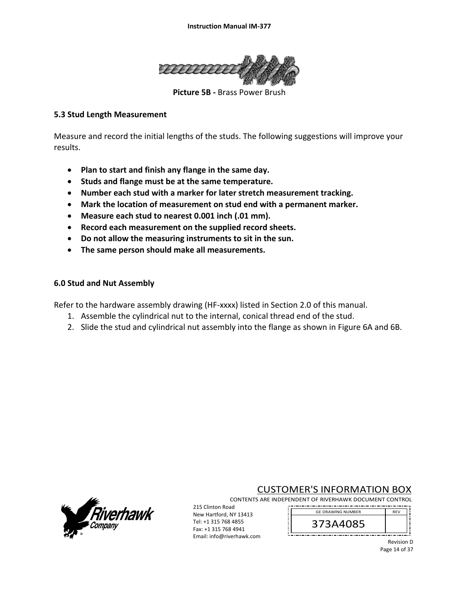

**Picture 5B - Brass Power Brush** 

### **5.3 Stud Length Measurement**

Measure and record the initial lengths of the studs. The following suggestions will improve your results.

- **Plan to start and finish any flange in the same day.**
- **•** Studs and flange must be at the same temperature.
- **Number each stud with a marker for later stretch measurement tracking.**
- **Mark the location of measurement on stud end with a permanent marker.**
- **Measure each stud to nearest 0.001 inch (.01 mm).**
- **Record each measurement on the supplied record sheets.**
- **Do not allow the measuring instruments to sit in the sun.**
- **The same person should make all measurements.**

#### **6.0 Stud and Nut Assembly**

Refer to the hardware assembly drawing (HF‐xxxx) listed in Section 2.0 of this manual.

- 1. Assemble the cylindrical nut to the internal, conical thread end of the stud.
- 2. Slide the stud and cylindrical nut assembly into the flange as shown in Figure 6A and 6B.



# CUSTOMER'S INFORMATION BOX

CONTENTS ARE INDEPENDENT OF RIVERHAWK DOCUMENT CONTROL 

215 Clinton Road New Hartford, NY 13413 Tel: +1 315 768 4855 Fax: +1 315 768 4941 Email: info@riverhawk.com

REV 373A4085 GE DRAWING NUMBER

> Revision D Page 14 of 37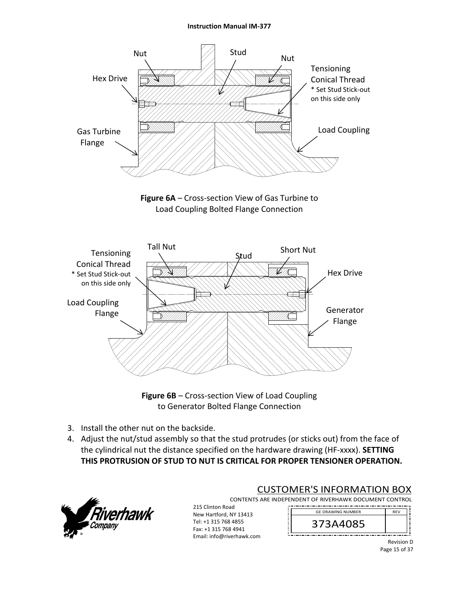#### **Instruction Manual IM‐377**



**Figure 6A** – Cross‐section View of Gas Turbine to Load Coupling Bolted Flange Connection



**Figure 6B** – Cross‐section View of Load Coupling to Generator Bolted Flange Connection

- 3. Install the other nut on the backside.
- 4. Adjust the nut/stud assembly so that the stud protrudes (or sticks out) from the face of the cylindrical nut the distance specified on the hardware drawing (HF‐xxxx). **SETTING THIS PROTRUSION OF STUD TO NUT IS CRITICAL FOR PROPER TENSIONER OPERATION.**



## CUSTOMER'S INFORMATION BOX

CONTENTS ARE INDEPENDENT OF RIVERHAWK DOCUMENT CONTROL 

215 Clinton Road New Hartford, NY 13413 Tel: +1 315 768 4855 Fax: +1 315 768 4941 Email: info@riverhawk.com

373A4085 GE DRAWING NUMBER

> Revision D Page 15 of 37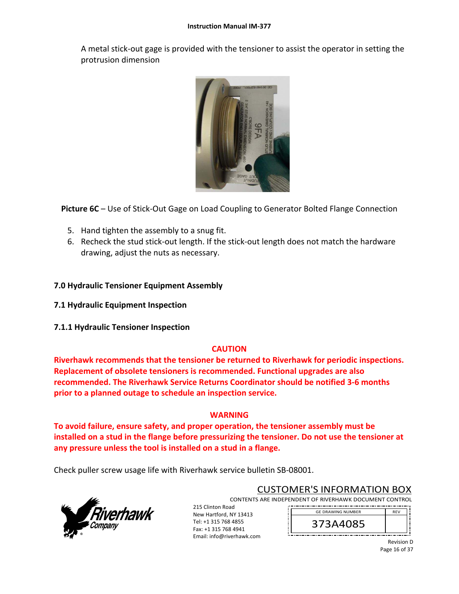A metal stick‐out gage is provided with the tensioner to assist the operator in setting the protrusion dimension



**Picture 6C** – Use of Stick‐Out Gage on Load Coupling to Generator Bolted Flange Connection

- 5. Hand tighten the assembly to a snug fit.
- 6. Recheck the stud stick‐out length. If the stick‐out length does not match the hardware drawing, adjust the nuts as necessary.

### **7.0 Hydraulic Tensioner Equipment Assembly**

- **7.1 Hydraulic Equipment Inspection**
- **7.1.1 Hydraulic Tensioner Inspection**

## **CAUTION**

**Riverhawk recommends that the tensioner be returned to Riverhawk for periodic inspections. Replacement of obsolete tensioners is recommended. Functional upgrades are also recommended. The Riverhawk Service Returns Coordinator should be notified 3‐6 months prior to a planned outage to schedule an inspection service.** 

### **WARNING**

**To avoid failure, ensure safety, and proper operation, the tensioner assembly must be installed on a stud in the flange before pressurizing the tensioner. Do not use the tensioner at any pressure unless the tool is installed on a stud in a flange.** 

Check puller screw usage life with Riverhawk service bulletin SB‐08001.



CUSTOMER'S INFORMATION BOX

CONTENTS ARE INDEPENDENT OF RIVERHAWK DOCUMENT CONTROL

215 Clinton Road New Hartford, NY 13413 Tel: +1 315 768 4855 Fax: +1 315 768 4941 Email: info@riverhawk.com

REV 373A4085 GE DRAWING NUMBER



Page 16 of 37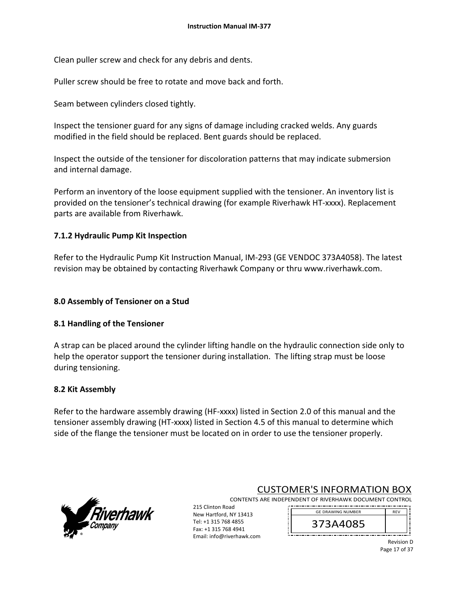Clean puller screw and check for any debris and dents.

Puller screw should be free to rotate and move back and forth.

Seam between cylinders closed tightly.

Inspect the tensioner guard for any signs of damage including cracked welds. Any guards modified in the field should be replaced. Bent guards should be replaced.

Inspect the outside of the tensioner for discoloration patterns that may indicate submersion and internal damage.

Perform an inventory of the loose equipment supplied with the tensioner. An inventory list is provided on the tensioner's technical drawing (for example Riverhawk HT‐xxxx). Replacement parts are available from Riverhawk.

## **7.1.2 Hydraulic Pump Kit Inspection**

Refer to the Hydraulic Pump Kit Instruction Manual, IM‐293 (GE VENDOC 373A4058). The latest revision may be obtained by contacting Riverhawk Company or thru www.riverhawk.com.

## **8.0 Assembly of Tensioner on a Stud**

## **8.1 Handling of the Tensioner**

A strap can be placed around the cylinder lifting handle on the hydraulic connection side only to help the operator support the tensioner during installation. The lifting strap must be loose during tensioning.

## **8.2 Kit Assembly**

Refer to the hardware assembly drawing (HF-xxxx) listed in Section 2.0 of this manual and the tensioner assembly drawing (HT‐xxxx) listed in Section 4.5 of this manual to determine which side of the flange the tensioner must be located on in order to use the tensioner properly.

> Tel: +1 315 768 4855 Fax: +1 315 768 4941 Email: info@riverhawk.com



CUSTOMER'S INFORMATION BOX

CONTENTS ARE INDEPENDENT OF RIVERHAWK DOCUMENT CONTROL 215 Clinton Road New Hartford, NY 13413 GE DRAWING NUMBER



Revision D Page 17 of 37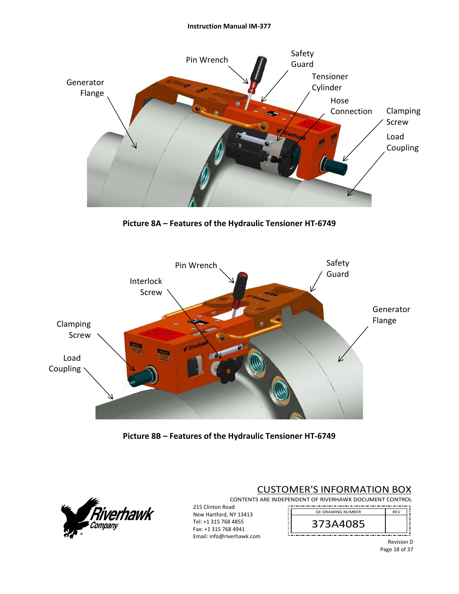

**Picture 8A – Features of the Hydraulic Tensioner HT‐6749** 



**Picture 8B – Features of the Hydraulic Tensioner HT‐6749**



# CUSTOMER'S INFORMATION BOX

CONTENTS ARE INDEPENDENT OF RIVERHAWK DOCUMENT CONTROL 

215 Clinton Road New Hartford, NY 13413 Tel: +1 315 768 4855 Fax: +1 315 768 4941 Email: info@riverhawk.com

REV 373A4085 GE DRAWING NUMBER

> Revision D Page 18 of 37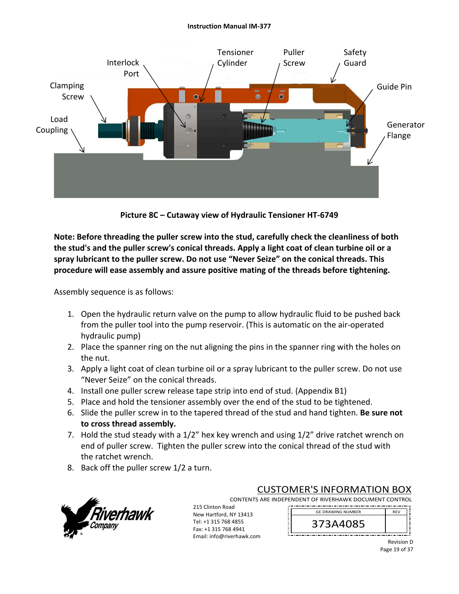#### **Instruction Manual IM‐377**



**Picture 8C – Cutaway view of Hydraulic Tensioner HT‐6749** 

**Note: Before threading the puller screw into the stud, carefully check the cleanliness of both the stud's and the puller screw's conical threads. Apply a light coat of clean turbine oil or a spray lubricant to the puller screw. Do not use "Never Seize" on the conical threads. This procedure will ease assembly and assure positive mating of the threads before tightening.** 

Assembly sequence is as follows:

- 1. Open the hydraulic return valve on the pump to allow hydraulic fluid to be pushed back from the puller tool into the pump reservoir. (This is automatic on the air‐operated hydraulic pump)
- 2. Place the spanner ring on the nut aligning the pins in the spanner ring with the holes on the nut.
- 3. Apply a light coat of clean turbine oil or a spray lubricant to the puller screw. Do not use "Never Seize" on the conical threads.
- 4. Install one puller screw release tape strip into end of stud. (Appendix B1)
- 5. Place and hold the tensioner assembly over the end of the stud to be tightened.
- 6. Slide the puller screw in to the tapered thread of the stud and hand tighten. **Be sure not to cross thread assembly.**
- 7. Hold the stud steady with a 1/2" hex key wrench and using 1/2" drive ratchet wrench on end of puller screw. Tighten the puller screw into the conical thread of the stud with the ratchet wrench.
- 8. Back off the puller screw 1/2 a turn.



CUSTOMER'S INFORMATION BOX

CONTENTS ARE INDEPENDENT OF RIVERHAWK DOCUMENT CONTROL

215 Clinton Road New Hartford, NY 13413 Tel: +1 315 768 4855 Fax: +1 315 768 4941 Email: info@riverhawk.com



Revision D Page 19 of 37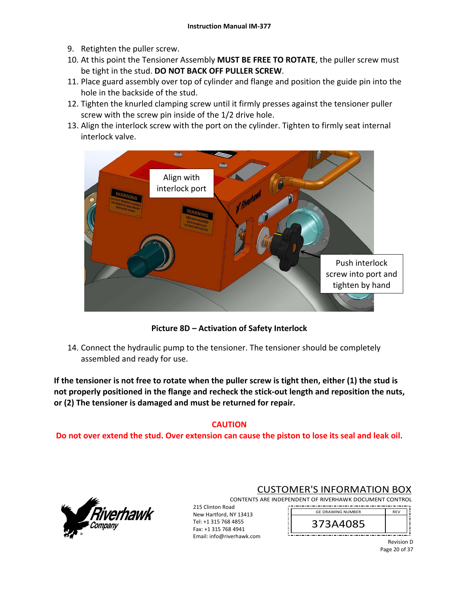- 9. Retighten the puller screw.
- 10. At this point the Tensioner Assembly **MUST BE FREE TO ROTATE**, the puller screw must be tight in the stud. **DO NOT BACK OFF PULLER SCREW**.
- 11. Place guard assembly over top of cylinder and flange and position the guide pin into the hole in the backside of the stud.
- 12. Tighten the knurled clamping screw until it firmly presses against the tensioner puller screw with the screw pin inside of the 1/2 drive hole.
- 13. Align the interlock screw with the port on the cylinder. Tighten to firmly seat internal interlock valve.



**Picture 8D – Activation of Safety Interlock** 

14. Connect the hydraulic pump to the tensioner. The tensioner should be completely assembled and ready for use.

**If the tensioner is not free to rotate when the puller screw is tight then, either (1) the stud is not properly positioned in the flange and recheck the stick‐out length and reposition the nuts, or (2) The tensioner is damaged and must be returned for repair.** 

# **CAUTION**

**Do not over extend the stud. Over extension can cause the piston to lose its seal and leak oil.** 



# CUSTOMER'S INFORMATION BOX

CONTENTS ARE INDEPENDENT OF RIVERHAWK DOCUMENT CONTROL 215 Clinton Road 

New Hartford, NY 13413 Tel: +1 315 768 4855 Fax: +1 315 768 4941 Email: info@riverhawk.com 373A4085 GE DRAWING NUMBER

> Revision D Page 20 of 37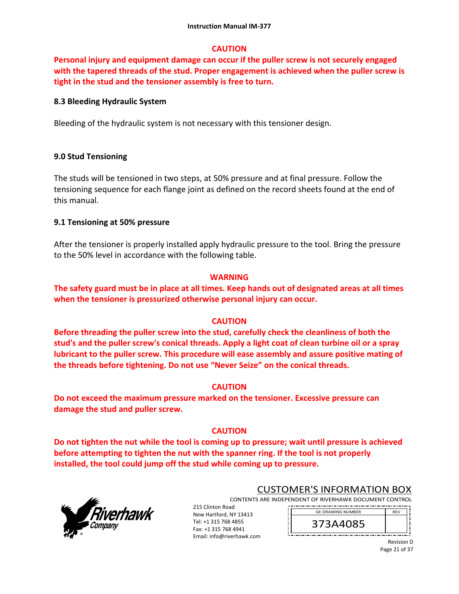### **CAUTION**

**Personal injury and equipment damage can occur if the puller screw is not securely engaged with the tapered threads of the stud. Proper engagement is achieved when the puller screw is tight in the stud and the tensioner assembly is free to turn.** 

### **8.3 Bleeding Hydraulic System**

Bleeding of the hydraulic system is not necessary with this tensioner design.

### **9.0 Stud Tensioning**

The studs will be tensioned in two steps, at 50% pressure and at final pressure. Follow the tensioning sequence for each flange joint as defined on the record sheets found at the end of this manual.

### **9.1 Tensioning at 50% pressure**

After the tensioner is properly installed apply hydraulic pressure to the tool. Bring the pressure to the 50% level in accordance with the following table.

### **WARNING**

**The safety guard must be in place at all times. Keep hands out of designated areas at all times when the tensioner is pressurized otherwise personal injury can occur.** 

### **CAUTION**

**Before threading the puller screw into the stud, carefully check the cleanliness of both the stud's and the puller screw's conical threads. Apply a light coat of clean turbine oil or a spray lubricant to the puller screw. This procedure will ease assembly and assure positive mating of the threads before tightening. Do not use "Never Seize" on the conical threads.** 

### **CAUTION**

**Do not exceed the maximum pressure marked on the tensioner. Excessive pressure can damage the stud and puller screw.** 

## **CAUTION**

**Do not tighten the nut while the tool is coming up to pressure; wait until pressure is achieved before attempting to tighten the nut with the spanner ring. If the tool is not properly installed, the tool could jump off the stud while coming up to pressure.** 



## CUSTOMER'S INFORMATION BOX

CONTENTS ARE INDEPENDENT OF RIVERHAWK DOCUMENT CONTROL 

215 Clinton Road New Hartford, NY 13413 Tel: +1 315 768 4855 Fax: +1 315 768 4941 Email: info@riverhawk.com

373A4085 GE DRAWING NUMBER

> Revision D Page 21 of 37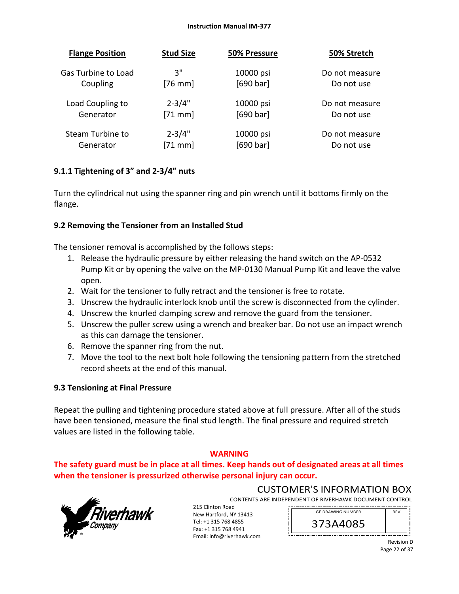#### **Instruction Manual IM‐377**

| <b>Flange Position</b> | <b>Stud Size</b> | 50% Pressure | 50% Stretch    |
|------------------------|------------------|--------------|----------------|
| Gas Turbine to Load    | 3"               | 10000 psi    | Do not measure |
| Coupling               | $[76$ mm         | [690 bar]    | Do not use     |
| Load Coupling to       | $2 - 3/4"$       | 10000 psi    | Do not measure |
| Generator              | $[71$ mm]        | [690 bar]    | Do not use     |
| Steam Turbine to       | $2 - 3/4"$       | 10000 psi    | Do not measure |
| Generator              | $[71$ mm]        | [690 bar]    | Do not use     |

## **9.1.1 Tightening of 3" and 2‐3/4" nuts**

Turn the cylindrical nut using the spanner ring and pin wrench until it bottoms firmly on the flange.

## **9.2 Removing the Tensioner from an Installed Stud**

The tensioner removal is accomplished by the follows steps:

- 1. Release the hydraulic pressure by either releasing the hand switch on the AP‐0532 Pump Kit or by opening the valve on the MP‐0130 Manual Pump Kit and leave the valve open.
- 2. Wait for the tensioner to fully retract and the tensioner is free to rotate.
- 3. Unscrew the hydraulic interlock knob until the screw is disconnected from the cylinder.
- 4. Unscrew the knurled clamping screw and remove the guard from the tensioner.
- 5. Unscrew the puller screw using a wrench and breaker bar. Do not use an impact wrench as this can damage the tensioner.
- 6. Remove the spanner ring from the nut.
- 7. Move the tool to the next bolt hole following the tensioning pattern from the stretched record sheets at the end of this manual.

# **9.3 Tensioning at Final Pressure**

Repeat the pulling and tightening procedure stated above at full pressure. After all of the studs have been tensioned, measure the final stud length. The final pressure and required stretch values are listed in the following table.

## **WARNING**

**The safety guard must be in place at all times. Keep hands out of designated areas at all times when the tensioner is pressurized otherwise personal injury can occur.** 

Email: info@riverhawk.com



CUSTOMER'S INFORMATION BOX CONTENTS ARE INDEPENDENT OF RIVERHAWK DOCUMENT CONTROL

215 Clinton Road New Hartford, NY 13413 Tel: +1 315 768 4855 Fax: +1 315 768 4941 

373A4085 GE DRAWING NUMBER

> Revision D Page 22 of 37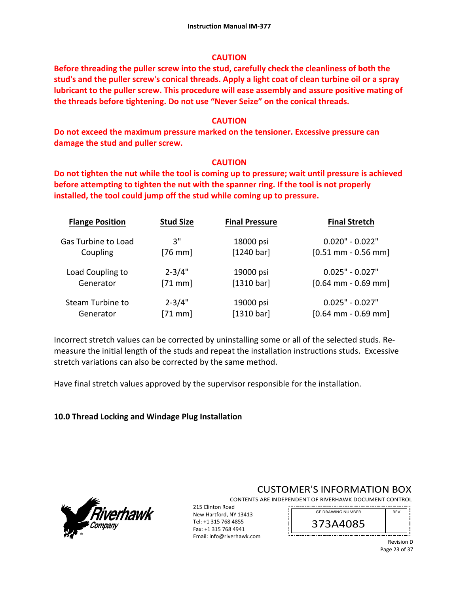### **CAUTION**

**Before threading the puller screw into the stud, carefully check the cleanliness of both the stud's and the puller screw's conical threads. Apply a light coat of clean turbine oil or a spray lubricant to the puller screw. This procedure will ease assembly and assure positive mating of the threads before tightening. Do not use "Never Seize" on the conical threads.** 

### **CAUTION**

**Do not exceed the maximum pressure marked on the tensioner. Excessive pressure can damage the stud and puller screw.** 

### **CAUTION**

**Do not tighten the nut while the tool is coming up to pressure; wait until pressure is achieved before attempting to tighten the nut with the spanner ring. If the tool is not properly installed, the tool could jump off the stud while coming up to pressure.** 

| <b>Flange Position</b>     | <b>Stud Size</b> | <b>Final Pressure</b> | <b>Final Stretch</b>  |
|----------------------------|------------------|-----------------------|-----------------------|
| <b>Gas Turbine to Load</b> | 3"               | 18000 psi             | $0.020" - 0.022"$     |
| Coupling                   | $[76$ mm]        | [1240 bar]            | $[0.51$ mm - 0.56 mm] |
| Load Coupling to           | $2 - 3/4"$       | 19000 psi             | $0.025" - 0.027"$     |
| Generator                  | $[71$ mm]        | [1310 bar]            | $[0.64$ mm - 0.69 mm] |
| <b>Steam Turbine to</b>    | $2 - 3/4"$       | 19000 psi             | $0.025" - 0.027"$     |
| Generator                  | $[71$ mm]        | [1310 bar]            | $[0.64$ mm - 0.69 mm] |

Incorrect stretch values can be corrected by uninstalling some or all of the selected studs. Re‐ measure the initial length of the studs and repeat the installation instructions studs. Excessive stretch variations can also be corrected by the same method.

Have final stretch values approved by the supervisor responsible for the installation.

## **10.0 Thread Locking and Windage Plug Installation**



# CUSTOMER'S INFORMATION BOX

CONTENTS ARE INDEPENDENT OF RIVERHAWK DOCUMENT CONTROL 

215 Clinton Road New Hartford, NY 13413 Tel: +1 315 768 4855 Fax: +1 315 768 4941 Email: info@riverhawk.com

373A4085 GE DRAWING NUMBER

> Revision D Page 23 of 37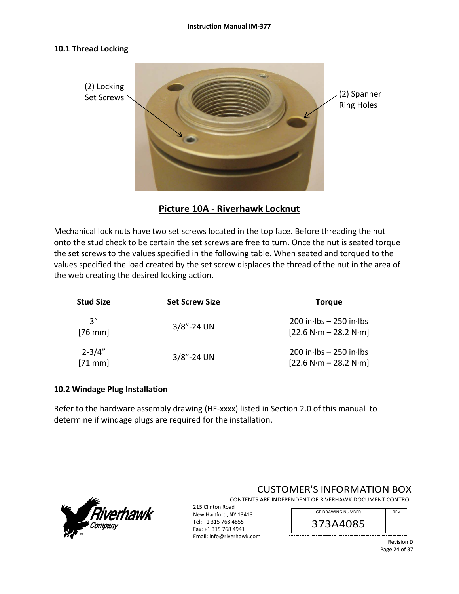### **10.1 Thread Locking**



**Picture 10A ‐ Riverhawk Locknut** 

Mechanical lock nuts have two set screws located in the top face. Before threading the nut onto the stud check to be certain the set screws are free to turn. Once the nut is seated torque the set screws to the values specified in the following table. When seated and torqued to the values specified the load created by the set screw displaces the thread of the nut in the area of the web creating the desired locking action.

| <b>Stud Size</b>       | <b>Set Screw Size</b> | <b>Torque</b>                                          |
|------------------------|-----------------------|--------------------------------------------------------|
| יי 3<br>$[76$ mm]      | $3/8$ "-24 UN         | $200$ in lbs $- 250$ in lbs<br>$[22.6 N·m - 28.2 N·m]$ |
| $2 - 3/4"$<br>$[71$ mm | $3/8$ "-24 UN         | $200$ in lbs $- 250$ in lbs<br>$[22.6 N·m - 28.2 N·m]$ |

### **10.2 Windage Plug Installation**

Refer to the hardware assembly drawing (HF-xxxx) listed in Section 2.0 of this manual to determine if windage plugs are required for the installation.



CUSTOMER'S INFORMATION BOX CONTENTS ARE INDEPENDENT OF RIVERHAWK DOCUMENT CONTROL

215 Clinton Road New Hartford, NY 13413 Tel: +1 315 768 4855 Fax: +1 315 768 4941 

Email: info@riverhawk.com



Revision D Page 24 of 37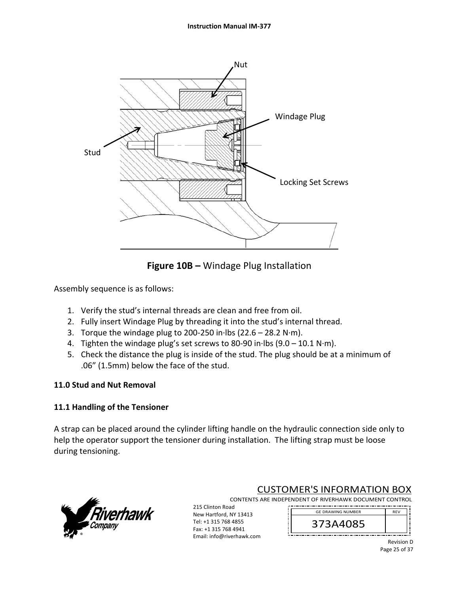

**Figure 10B –** Windage Plug Installation

Assembly sequence is as follows:

- 1. Verify the stud's internal threads are clean and free from oil.
- 2. Fully insert Windage Plug by threading it into the stud's internal thread.
- 3. Torque the windage plug to 200‐250 in∙lbs (22.6 28.2 N∙m).
- 4. Tighten the windage plug's set screws to 80‐90 in∙lbs (9.0 10.1 N∙m).
- 5. Check the distance the plug is inside of the stud. The plug should be at a minimum of .06" (1.5mm) below the face of the stud.

# **11.0 Stud and Nut Removal**

## **11.1 Handling of the Tensioner**

A strap can be placed around the cylinder lifting handle on the hydraulic connection side only to help the operator support the tensioner during installation. The lifting strap must be loose during tensioning.



CUSTOMER'S INFORMATION BOX

CONTENTS ARE INDEPENDENT OF RIVERHAWK DOCUMENT CONTROL

215 Clinton Road New Hartford, NY 13413 Tel: +1 315 768 4855 Fax: +1 315 768 4941

Email: info@riverhawk.com



Revision D Page 25 of 37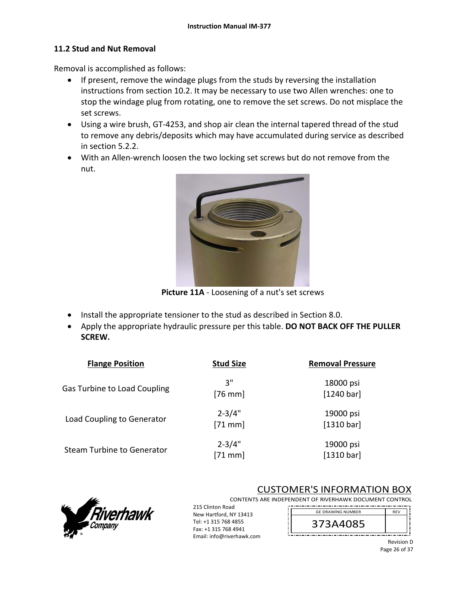### **11.2 Stud and Nut Removal**

Removal is accomplished as follows:

- If present, remove the windage plugs from the studs by reversing the installation instructions from section 10.2. It may be necessary to use two Allen wrenches: one to stop the windage plug from rotating, one to remove the set screws. Do not misplace the set screws.
- Using a wire brush, GT-4253, and shop air clean the internal tapered thread of the stud to remove any debris/deposits which may have accumulated during service as described in section 5.2.2.
- With an Allen‐wrench loosen the two locking set screws but do not remove from the nut.



**Picture 11A** ‐ Loosening of a nut's set screws

- Install the appropriate tensioner to the stud as described in Section 8.0.
- Apply the appropriate hydraulic pressure per this table. **DO NOT BACK OFF THE PULLER SCREW.**

| <b>Flange Position</b>            | <b>Stud Size</b>        | <b>Removal Pressure</b> |
|-----------------------------------|-------------------------|-------------------------|
| Gas Turbine to Load Coupling      | יי 3<br>$[76$ mm        | 18000 psi<br>[1240 bar] |
| Load Coupling to Generator        | $2 - 3/4"$<br>$[71$ mm  | 19000 psi<br>[1310 bar] |
| <b>Steam Turbine to Generator</b> | $2 - 3/4"$<br>$[71$ mm] | 19000 psi<br>[1310 bar] |



# CUSTOMER'S INFORMATION BOX

CONTENTS ARE INDEPENDENT OF RIVERHAWK DOCUMENT CONTROL

215 Clinton Road New Hartford, NY 13413 Tel: +1 315 768 4855 Fax: +1 315 768 4941 Email: info@riverhawk.com



Revision D Page 26 of 37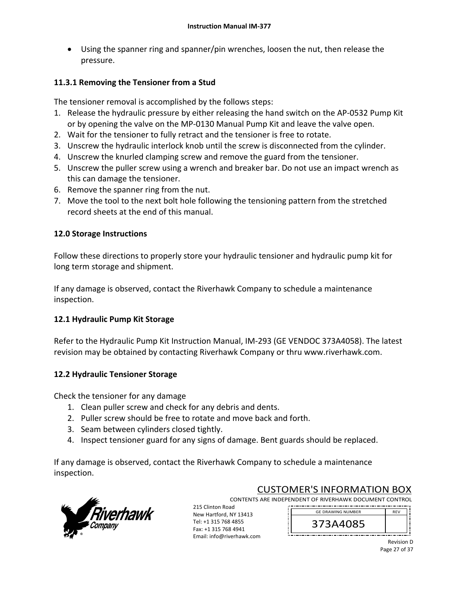Using the spanner ring and spanner/pin wrenches, loosen the nut, then release the pressure.

## **11.3.1 Removing the Tensioner from a Stud**

The tensioner removal is accomplished by the follows steps:

- 1. Release the hydraulic pressure by either releasing the hand switch on the AP‐0532 Pump Kit or by opening the valve on the MP‐0130 Manual Pump Kit and leave the valve open.
- 2. Wait for the tensioner to fully retract and the tensioner is free to rotate.
- 3. Unscrew the hydraulic interlock knob until the screw is disconnected from the cylinder.
- 4. Unscrew the knurled clamping screw and remove the guard from the tensioner.
- 5. Unscrew the puller screw using a wrench and breaker bar. Do not use an impact wrench as this can damage the tensioner.
- 6. Remove the spanner ring from the nut.
- 7. Move the tool to the next bolt hole following the tensioning pattern from the stretched record sheets at the end of this manual.

## **12.0 Storage Instructions**

Follow these directions to properly store your hydraulic tensioner and hydraulic pump kit for long term storage and shipment.

If any damage is observed, contact the Riverhawk Company to schedule a maintenance inspection.

# **12.1 Hydraulic Pump Kit Storage**

Refer to the Hydraulic Pump Kit Instruction Manual, IM‐293 (GE VENDOC 373A4058). The latest revision may be obtained by contacting Riverhawk Company or thru www.riverhawk.com.

## **12.2 Hydraulic Tensioner Storage**

Check the tensioner for any damage

- 1. Clean puller screw and check for any debris and dents.
- 2. Puller screw should be free to rotate and move back and forth.
- 3. Seam between cylinders closed tightly.
- 4. Inspect tensioner guard for any signs of damage. Bent guards should be replaced.

If any damage is observed, contact the Riverhawk Company to schedule a maintenance inspection.



CUSTOMER'S INFORMATION BOX

CONTENTS ARE INDEPENDENT OF RIVERHAWK DOCUMENT CONTROL 215 Clinton Road 

New Hartford, NY 13413 Tel: +1 315 768 4855 Fax: +1 315 768 4941 Email: info@riverhawk.com

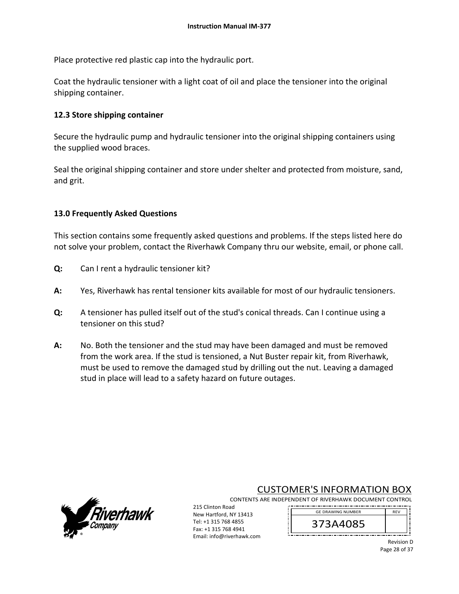Place protective red plastic cap into the hydraulic port.

Coat the hydraulic tensioner with a light coat of oil and place the tensioner into the original shipping container.

### **12.3 Store shipping container**

Secure the hydraulic pump and hydraulic tensioner into the original shipping containers using the supplied wood braces.

Seal the original shipping container and store under shelter and protected from moisture, sand, and grit.

### **13.0 Frequently Asked Questions**

This section contains some frequently asked questions and problems. If the steps listed here do not solve your problem, contact the Riverhawk Company thru our website, email, or phone call.

- **Q:**  Can I rent a hydraulic tensioner kit?
- **A:**  Yes, Riverhawk has rental tensioner kits available for most of our hydraulic tensioners.
- **Q:**  A tensioner has pulled itself out of the stud's conical threads. Can I continue using a tensioner on this stud?
- **A:**  No. Both the tensioner and the stud may have been damaged and must be removed from the work area. If the stud is tensioned, a Nut Buster repair kit, from Riverhawk, must be used to remove the damaged stud by drilling out the nut. Leaving a damaged stud in place will lead to a safety hazard on future outages.



# CUSTOMER'S INFORMATION BOX

CONTENTS ARE INDEPENDENT OF RIVERHAWK DOCUMENT CONTROL 

215 Clinton Road New Hartford, NY 13413 Tel: +1 315 768 4855 Fax: +1 315 768 4941 Email: info@riverhawk.com

373A4085 GE DRAWING NUMBER

> Revision D Page 28 of 37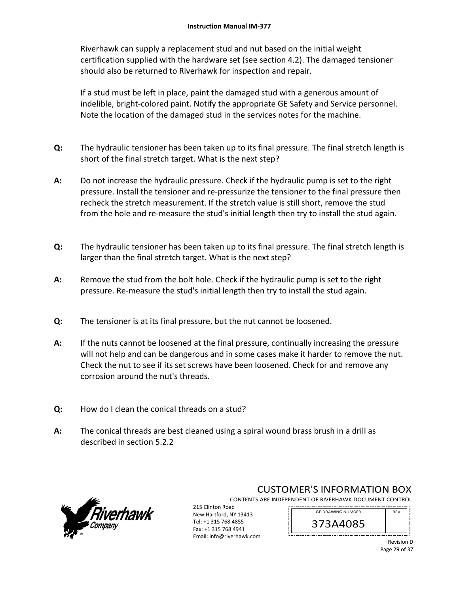Riverhawk can supply a replacement stud and nut based on the initial weight certification supplied with the hardware set (see section 4.2). The damaged tensioner should also be returned to Riverhawk for inspection and repair.

If a stud must be left in place, paint the damaged stud with a generous amount of indelible, bright‐colored paint. Notify the appropriate GE Safety and Service personnel. Note the location of the damaged stud in the services notes for the machine.

- **Q:**  The hydraulic tensioner has been taken up to its final pressure. The final stretch length is short of the final stretch target. What is the next step?
- **A:**  Do not increase the hydraulic pressure. Check if the hydraulic pump is set to the right pressure. Install the tensioner and re‐pressurize the tensioner to the final pressure then recheck the stretch measurement. If the stretch value is still short, remove the stud from the hole and re-measure the stud's initial length then try to install the stud again.
- **Q:**  The hydraulic tensioner has been taken up to its final pressure. The final stretch length is larger than the final stretch target. What is the next step?
- **A:**  Remove the stud from the bolt hole. Check if the hydraulic pump is set to the right pressure. Re‐measure the stud's initial length then try to install the stud again.
- **Q:**  The tensioner is at its final pressure, but the nut cannot be loosened.
- **A:**  If the nuts cannot be loosened at the final pressure, continually increasing the pressure will not help and can be dangerous and in some cases make it harder to remove the nut. Check the nut to see if its set screws have been loosened. Check for and remove any corrosion around the nut's threads.
- **Q:**  How do I clean the conical threads on a stud?
- **A:**  The conical threads are best cleaned using a spiral wound brass brush in a drill as described in section 5.2.2



CUSTOMER'S INFORMATION BOX

CONTENTS ARE INDEPENDENT OF RIVERHAWK DOCUMENT CONTROL

215 Clinton Road New Hartford, NY 13413 Tel: +1 315 768 4855 Fax: +1 315 768 4941 Email: info@riverhawk.com

REV 373A4085 GE DRAWING NUMBER

Revision D Page 29 of 37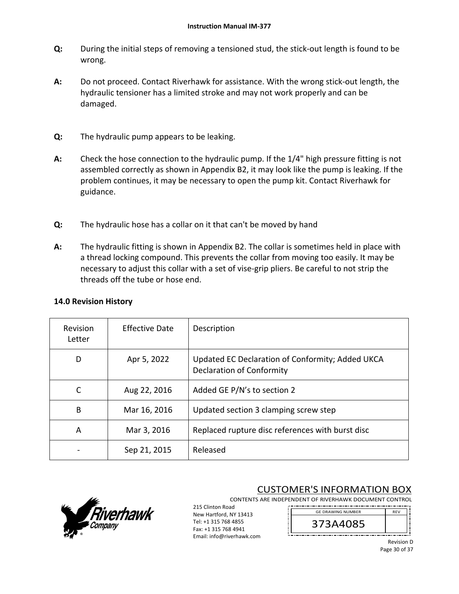- **Q:**  During the initial steps of removing a tensioned stud, the stick‐out length is found to be wrong.
- **A:**  Do not proceed. Contact Riverhawk for assistance. With the wrong stick‐out length, the hydraulic tensioner has a limited stroke and may not work properly and can be damaged.
- **Q:**  The hydraulic pump appears to be leaking.
- **A:**  Check the hose connection to the hydraulic pump. If the 1/4" high pressure fitting is not assembled correctly as shown in Appendix B2, it may look like the pump is leaking. If the problem continues, it may be necessary to open the pump kit. Contact Riverhawk for guidance.
- **Q:**  The hydraulic hose has a collar on it that can't be moved by hand
- **A:**  The hydraulic fitting is shown in Appendix B2. The collar is sometimes held in place with a thread locking compound. This prevents the collar from moving too easily. It may be necessary to adjust this collar with a set of vise‐grip pliers. Be careful to not strip the threads off the tube or hose end.

| Revision<br>Letter | Effective Date | Description                                                                          |
|--------------------|----------------|--------------------------------------------------------------------------------------|
| D                  | Apr 5, 2022    | Updated EC Declaration of Conformity; Added UKCA<br><b>Declaration of Conformity</b> |
| C                  | Aug 22, 2016   | Added GE P/N's to section 2                                                          |
| B                  | Mar 16, 2016   | Updated section 3 clamping screw step                                                |
| A                  | Mar 3, 2016    | Replaced rupture disc references with burst disc                                     |
|                    | Sep 21, 2015   | Released                                                                             |

### **14.0 Revision History**



CUSTOMER'S INFORMATION BOX

CONTENTS ARE INDEPENDENT OF RIVERHAWK DOCUMENT CONTROL 215 Clinton Road GE DRAWING NUMBER

New Hartford, NY 13413 Tel: +1 315 768 4855 Fax: +1 315 768 4941 Email: info@riverhawk.com



Revision D Page 30 of 37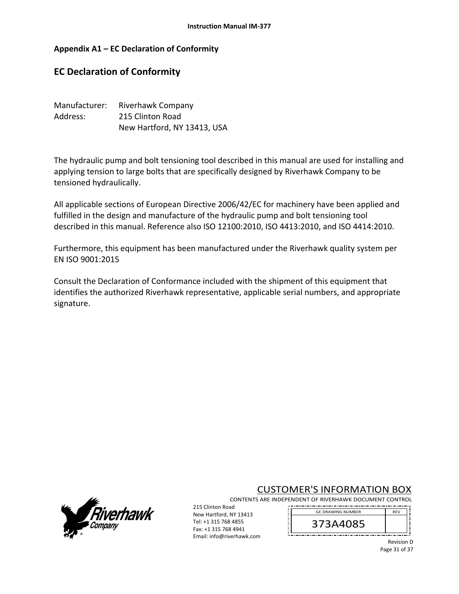### **Appendix A1 – EC Declaration of Conformity**

# **EC Declaration of Conformity**

| Manufacturer: | Riverhawk Company           |
|---------------|-----------------------------|
| Address:      | 215 Clinton Road            |
|               | New Hartford, NY 13413, USA |

The hydraulic pump and bolt tensioning tool described in this manual are used for installing and applying tension to large bolts that are specifically designed by Riverhawk Company to be tensioned hydraulically.

All applicable sections of European Directive 2006/42/EC for machinery have been applied and fulfilled in the design and manufacture of the hydraulic pump and bolt tensioning tool described in this manual. Reference also ISO 12100:2010, ISO 4413:2010, and ISO 4414:2010.

Furthermore, this equipment has been manufactured under the Riverhawk quality system per EN ISO 9001:2015

Consult the Declaration of Conformance included with the shipment of this equipment that identifies the authorized Riverhawk representative, applicable serial numbers, and appropriate signature.



# CUSTOMER'S INFORMATION BOX

CONTENTS ARE INDEPENDENT OF RIVERHAWK DOCUMENT CONTROL 

215 Clinton Road New Hartford, NY 13413 Tel: +1 315 768 4855 Fax: +1 315 768 4941 Email: info@riverhawk.com

REV 373A4085 GE DRAWING NUMBER

> Revision D Page 31 of 37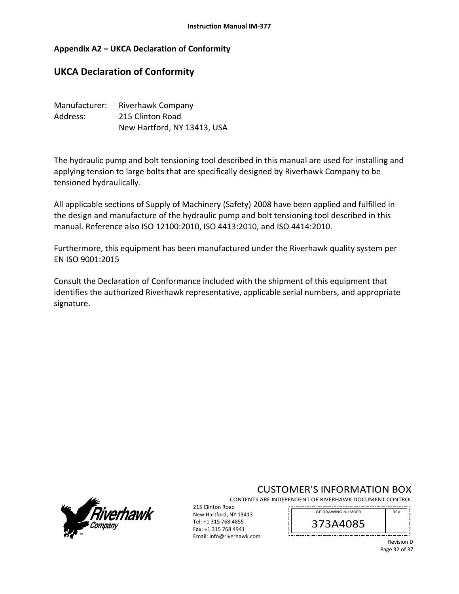### **Appendix A2 – UKCA Declaration of Conformity**

# **UKCA Declaration of Conformity**

| Manufacturer: | Riverhawk Company           |
|---------------|-----------------------------|
| Address:      | 215 Clinton Road            |
|               | New Hartford, NY 13413, USA |

The hydraulic pump and bolt tensioning tool described in this manual are used for installing and applying tension to large bolts that are specifically designed by Riverhawk Company to be tensioned hydraulically.

All applicable sections of Supply of Machinery (Safety) 2008 have been applied and fulfilled in the design and manufacture of the hydraulic pump and bolt tensioning tool described in this manual. Reference also ISO 12100:2010, ISO 4413:2010, and ISO 4414:2010.

Furthermore, this equipment has been manufactured under the Riverhawk quality system per EN ISO 9001:2015

Consult the Declaration of Conformance included with the shipment of this equipment that identifies the authorized Riverhawk representative, applicable serial numbers, and appropriate signature.



# CUSTOMER'S INFORMATION BOX

CONTENTS ARE INDEPENDENT OF RIVERHAWK DOCUMENT CONTROL 

215 Clinton Road New Hartford, NY 13413 Tel: +1 315 768 4855 Fax: +1 315 768 4941 Email: info@riverhawk.com

REV 373A4085 GE DRAWING NUMBER

> Revision D Page 32 of 37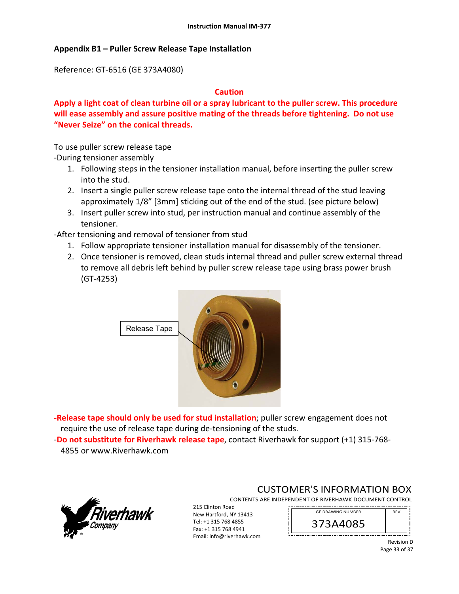### **Appendix B1 – Puller Screw Release Tape Installation**

Reference: GT‐6516 (GE 373A4080)

#### **Caution**

**Apply a light coat of clean turbine oil or a spray lubricant to the puller screw. This procedure will ease assembly and assure positive mating of the threads before tightening. Do not use "Never Seize" on the conical threads.** 

To use puller screw release tape

‐During tensioner assembly

- 1. Following steps in the tensioner installation manual, before inserting the puller screw into the stud.
- 2. Insert a single puller screw release tape onto the internal thread of the stud leaving approximately 1/8" [3mm] sticking out of the end of the stud. (see picture below)
- 3. Insert puller screw into stud, per instruction manual and continue assembly of the tensioner.

‐After tensioning and removal of tensioner from stud

- 1. Follow appropriate tensioner installation manual for disassembly of the tensioner.
- 2. Once tensioner is removed, clean studs internal thread and puller screw external thread to remove all debris left behind by puller screw release tape using brass power brush (GT‐4253)



**‐Release tape should only be used for stud installation**; puller screw engagement does not require the use of release tape during de‐tensioning of the studs.

‐**Do not substitute for Riverhawk release tape**, contact Riverhawk for support (+1) 315‐768‐ 4855 or www.Riverhawk.com



## CUSTOMER'S INFORMATION BOX

CONTENTS ARE INDEPENDENT OF RIVERHAWK DOCUMENT CONTROL 

215 Clinton Road New Hartford, NY 13413 Tel: +1 315 768 4855 Fax: +1 315 768 4941 Email: info@riverhawk.com

373A4085 GE DRAWING NUMBER

> Revision D Page 33 of 37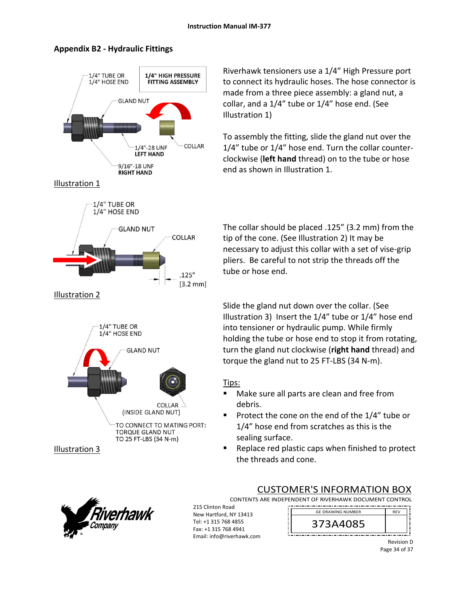

### **Appendix B2 ‐ Hydraulic Fittings**

Riverhawk tensioners use a 1/4" High Pressure port to connect its hydraulic hoses. The hose connector is made from a three piece assembly: a gland nut, a collar, and a 1/4" tube or 1/4" hose end. (See Illustration 1)

To assembly the fitting, slide the gland nut over the 1/4" tube or 1/4" hose end. Turn the collar counter‐ clockwise (**left hand** thread) on to the tube or hose end as shown in Illustration 1.

The collar should be placed .125" (3.2 mm) from the tip of the cone. (See Illustration 2) It may be necessary to adjust this collar with a set of vise‐grip pliers. Be careful to not strip the threads off the tube or hose end.

Slide the gland nut down over the collar. (See Illustration 3) Insert the 1/4" tube or 1/4" hose end into tensioner or hydraulic pump. While firmly holding the tube or hose end to stop it from rotating, turn the gland nut clockwise (**right hand** thread) and torque the gland nut to 25 FT‐LBS (34 N‐m).

# Tips:

- Make sure all parts are clean and free from debris.
- Protect the cone on the end of the  $1/4$ " tube or 1/4" hose end from scratches as this is the sealing surface.
- Replace red plastic caps when finished to protect the threads and cone.



# CUSTOMER'S INFORMATION BOX

CONTENTS ARE INDEPENDENT OF RIVERHAWK DOCUMENT CONTROL

215 Clinton Road New Hartford, NY 13413 Tel: +1 315 768 4855 Fax: +1 315 768 4941 Email: info@riverhawk.com

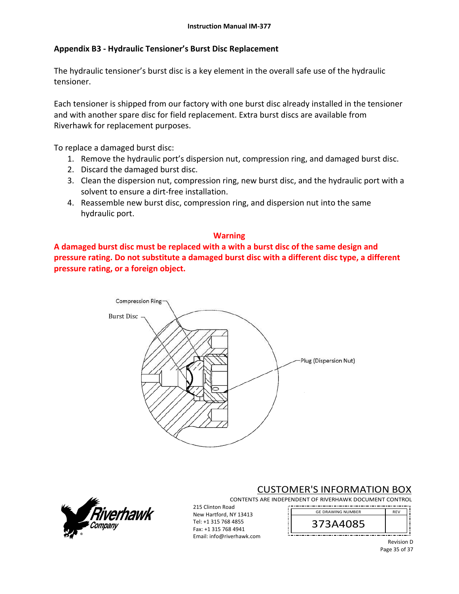### **Appendix B3 ‐ Hydraulic Tensioner's Burst Disc Replacement**

The hydraulic tensioner's burst disc is a key element in the overall safe use of the hydraulic tensioner.

Each tensioner is shipped from our factory with one burst disc already installed in the tensioner and with another spare disc for field replacement. Extra burst discs are available from Riverhawk for replacement purposes.

To replace a damaged burst disc:

- 1. Remove the hydraulic port's dispersion nut, compression ring, and damaged burst disc.
- 2. Discard the damaged burst disc.
- 3. Clean the dispersion nut, compression ring, new burst disc, and the hydraulic port with a solvent to ensure a dirt‐free installation.
- 4. Reassemble new burst disc, compression ring, and dispersion nut into the same hydraulic port.

### **Warning**

**A damaged burst disc must be replaced with a with a burst disc of the same design and pressure rating. Do not substitute a damaged burst disc with a different disc type, a different pressure rating, or a foreign object.**





# CUSTOMER'S INFORMATION BOX

CONTENTS ARE INDEPENDENT OF RIVERHAWK DOCUMENT CONTROL 

215 Clinton Road New Hartford, NY 13413 Tel: +1 315 768 4855 Fax: +1 315 768 4941 Email: info@riverhawk.com

REV 373A4085 GE DRAWING NUMBER

> Revision D Page 35 of 37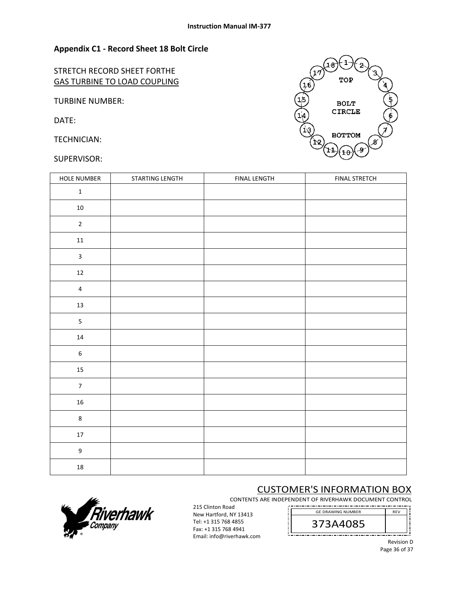### **Appendix C1 ‐ Record Sheet 18 Bolt Circle**

STRETCH RECORD SHEET FORTHE GAS TURBINE TO LOAD COUPLING

TURBINE NUMBER:

DATE:

TECHNICIAN:

#### SUPERVISOR:



| HOLE NUMBER             | STARTING LENGTH | <b>FINAL LENGTH</b> | <b>FINAL STRETCH</b> |
|-------------------------|-----------------|---------------------|----------------------|
| $\mathbf 1$             |                 |                     |                      |
| $10\,$                  |                 |                     |                      |
| $\mathbf 2$             |                 |                     |                      |
| $11\,$                  |                 |                     |                      |
| $\overline{\mathbf{3}}$ |                 |                     |                      |
| $12\,$                  |                 |                     |                      |
| $\overline{\mathbf{4}}$ |                 |                     |                      |
| $13\,$                  |                 |                     |                      |
| 5                       |                 |                     |                      |
| $14\,$                  |                 |                     |                      |
| $\boldsymbol{6}$        |                 |                     |                      |
| $15\,$                  |                 |                     |                      |
| $\overline{7}$          |                 |                     |                      |
| ${\bf 16}$              |                 |                     |                      |
| $\bf 8$                 |                 |                     |                      |
| $17\,$                  |                 |                     |                      |
| $\boldsymbol{9}$        |                 |                     |                      |
| ${\bf 18}$              |                 |                     |                      |

# CUSTOMER'S INFORMATION BOX

CONTENTS ARE INDEPENDENT OF RIVERHAWK DOCUMENT CONTROL . . . . . . . . . . . . . . . . .

ļ





Revision D Page 36 of 37

REV



215 Clinton Road New Hartford, NY 13413 Tel: +1 315 768 4855 Fax: +1 315 768 4941 Email: info@riverhawk.com